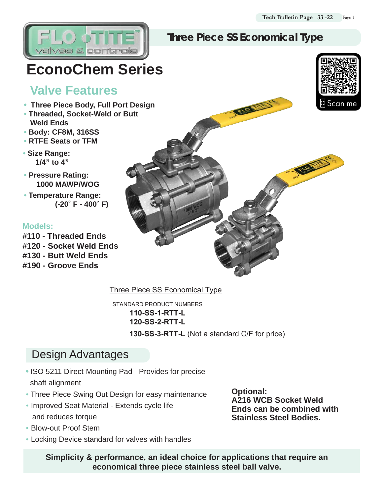#### **Three Piece SS Economical Type**

# **EconoChem Series**

### **Valve Features**

 $/23S$ 

- **Three Piece Body, Full Port Design**
- **• Threaded, Socket-Weld or Butt Weld Ends**
- **• Body: CF8M, 316SS**
- **• RTFE Seats or TFM**
- **• Size Range: 1/4" to 4"**
- **• Pressure Rating: 1000 MAWP/WOG**
- **• Temperature Range: (-20˚ F - 400˚ F)**

#### **Models:**

**#110 - Threaded Ends #120 - Socket Weld Ends #130 - Butt Weld Ends**

**#190 - Groove Ends**



Three Piece SS Economical Type

STANDARD PRODUCT NUMBERS **110-SS-1-RTT-L 120-SS-2-RTT-L 130-SS-3-RTT-L** (Not a standard C/F for price)

## **Design Advantages**

- **•** ISO 5211 Direct-Mounting Pad Provides for precise shaft alignment
- Three Piece Swing Out Design for easy maintenance
- Improved Seat Material Extends cycle life and reduces torque
- Blow-out Proof Stem
- Locking Device standard for valves with handles

**Optional: A216 WCB Socket Weld Ends can be combined with Stainless Steel Bodies.**

**Simplicity & performance, an ideal choice for applications that require an economical three piece stainless steel ball valve.**